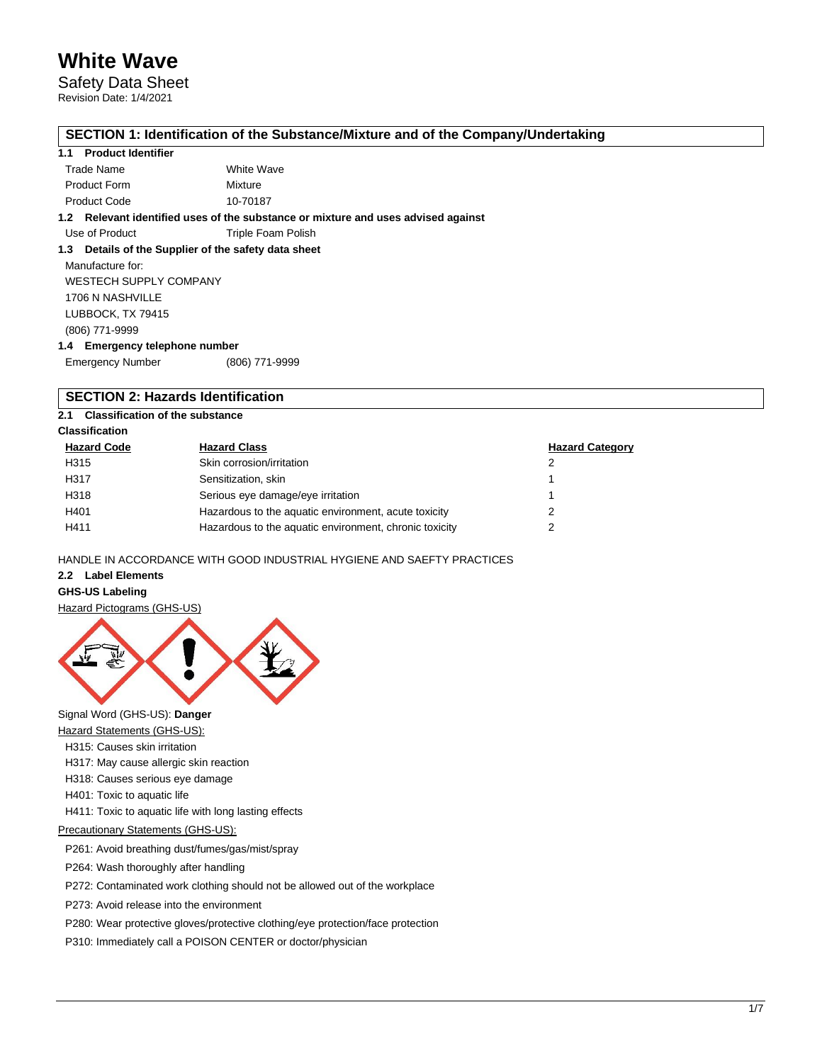## Safety Data Sheet

Revision Date: 1/4/2021

### **SECTION 1: Identification of the Substance/Mixture and of the Company/Undertaking**

### **1.1 Product Identifier**

| Trade Name          | White Wave |
|---------------------|------------|
| <b>Product Form</b> | Mixture    |
| <b>Product Code</b> | 10-70187   |

**1.2 Relevant identified uses of the substance or mixture and uses advised against**

Use of Product Triple Foam Polish

### **1.3 Details of the Supplier of the safety data sheet**

Manufacture for: WESTECH SUPPLY COMPANY 1706 N NASHVILLE LUBBOCK, TX 79415 (806) 771-9999 **1.4 Emergency telephone number**

| <b>Emergency Number</b> | (806) 771-9999 |
|-------------------------|----------------|

## **SECTION 2: Hazards Identification**

### **2.1 Classification of the substance**

### **Classification**

| <b>Hazard Code</b> | <b>Hazard Class</b>                                    | <b>Hazard Category</b> |
|--------------------|--------------------------------------------------------|------------------------|
| H315               | Skin corrosion/irritation                              |                        |
| H317               | Sensitization, skin                                    |                        |
| H318               | Serious eye damage/eye irritation                      |                        |
| H401               | Hazardous to the aquatic environment, acute toxicity   |                        |
| H411               | Hazardous to the aquatic environment, chronic toxicity | າ                      |

HANDLE IN ACCORDANCE WITH GOOD INDUSTRIAL HYGIENE AND SAEFTY PRACTICES

### **2.2 Label Elements**

### **GHS-US Labeling**

Hazard Pictograms (GHS-US)



Signal Word (GHS-US): **Danger**

Hazard Statements (GHS-US):

- H315: Causes skin irritation
- H317: May cause allergic skin reaction
- H318: Causes serious eye damage
- H401: Toxic to aquatic life
- H411: Toxic to aquatic life with long lasting effects

### Precautionary Statements (GHS-US):

P261: Avoid breathing dust/fumes/gas/mist/spray

P264: Wash thoroughly after handling

P272: Contaminated work clothing should not be allowed out of the workplace

P273: Avoid release into the environment

P280: Wear protective gloves/protective clothing/eye protection/face protection

P310: Immediately call a POISON CENTER or doctor/physician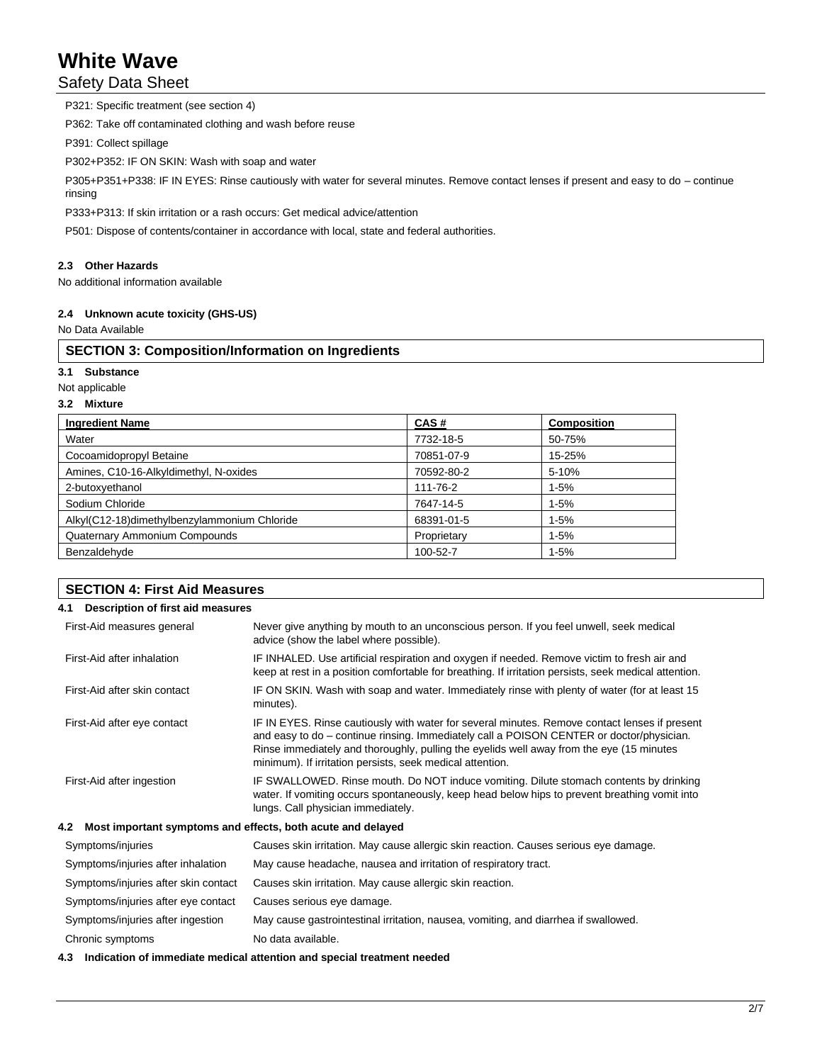## Safety Data Sheet

P321: Specific treatment (see section 4) P362: Take off contaminated clothing and wash before reuse

P391: Collect spillage

P302+P352: IF ON SKIN: Wash with soap and water

P305+P351+P338: IF IN EYES: Rinse cautiously with water for several minutes. Remove contact lenses if present and easy to do – continue rinsing

P333+P313: If skin irritation or a rash occurs: Get medical advice/attention

P501: Dispose of contents/container in accordance with local, state and federal authorities.

### **2.3 Other Hazards**

No additional information available

### **2.4 Unknown acute toxicity (GHS-US)**

No Data Available

### **SECTION 3: Composition/Information on Ingredients**

**3.1 Substance**

Not applicable

#### **3.2 Mixture**

| <b>Ingredient Name</b>                       | CAS#        | <b>Composition</b> |
|----------------------------------------------|-------------|--------------------|
| Water                                        | 7732-18-5   | 50-75%             |
| Cocoamidopropyl Betaine                      | 70851-07-9  | 15-25%             |
| Amines, C10-16-Alkyldimethyl, N-oxides       | 70592-80-2  | 5-10%              |
| 2-butoxyethanol                              | 111-76-2    | $1 - 5%$           |
| Sodium Chloride                              | 7647-14-5   | $1 - 5%$           |
| Alkyl(C12-18)dimethylbenzylammonium Chloride | 68391-01-5  | $1 - 5%$           |
| Quaternary Ammonium Compounds                | Proprietary | $1 - 5%$           |
| Benzaldehyde                                 | 100-52-7    | $1 - 5%$           |

| <b>SECTION 4: First Aid Measures</b>                               |                                                                                                                                                                                                                                                                                                                                                    |
|--------------------------------------------------------------------|----------------------------------------------------------------------------------------------------------------------------------------------------------------------------------------------------------------------------------------------------------------------------------------------------------------------------------------------------|
| Description of first aid measures<br>4.1                           |                                                                                                                                                                                                                                                                                                                                                    |
| First-Aid measures general                                         | Never give anything by mouth to an unconscious person. If you feel unwell, seek medical<br>advice (show the label where possible).                                                                                                                                                                                                                 |
| First-Aid after inhalation                                         | IF INHALED. Use artificial respiration and oxygen if needed. Remove victim to fresh air and<br>keep at rest in a position comfortable for breathing. If irritation persists, seek medical attention.                                                                                                                                               |
| First-Aid after skin contact                                       | IF ON SKIN. Wash with soap and water. Immediately rinse with plenty of water (for at least 15<br>minutes).                                                                                                                                                                                                                                         |
| First-Aid after eye contact                                        | IF IN EYES. Rinse cautiously with water for several minutes. Remove contact lenses if present<br>and easy to do – continue rinsing. Immediately call a POISON CENTER or doctor/physician.<br>Rinse immediately and thoroughly, pulling the eyelids well away from the eye (15 minutes<br>minimum). If irritation persists, seek medical attention. |
| First-Aid after ingestion                                          | IF SWALLOWED. Rinse mouth. Do NOT induce vomiting. Dilute stomach contents by drinking<br>water. If vomiting occurs spontaneously, keep head below hips to prevent breathing vomit into<br>lungs. Call physician immediately.                                                                                                                      |
| Most important symptoms and effects, both acute and delayed<br>4.2 |                                                                                                                                                                                                                                                                                                                                                    |
| Symptoms/injuries                                                  | Causes skin irritation. May cause allergic skin reaction. Causes serious eye damage.                                                                                                                                                                                                                                                               |
| Symptoms/injuries after inhalation                                 | May cause headache, nausea and irritation of respiratory tract.                                                                                                                                                                                                                                                                                    |
| Symptoms/injuries after skin contact                               | Causes skin irritation. May cause allergic skin reaction.                                                                                                                                                                                                                                                                                          |
| Symptoms/injuries after eye contact                                | Causes serious eye damage.                                                                                                                                                                                                                                                                                                                         |

Symptoms/injuries after ingestion May cause gastrointestinal irritation, nausea, vomiting, and diarrhea if swallowed.

Chronic symptoms No data available.

**4.3 Indication of immediate medical attention and special treatment needed**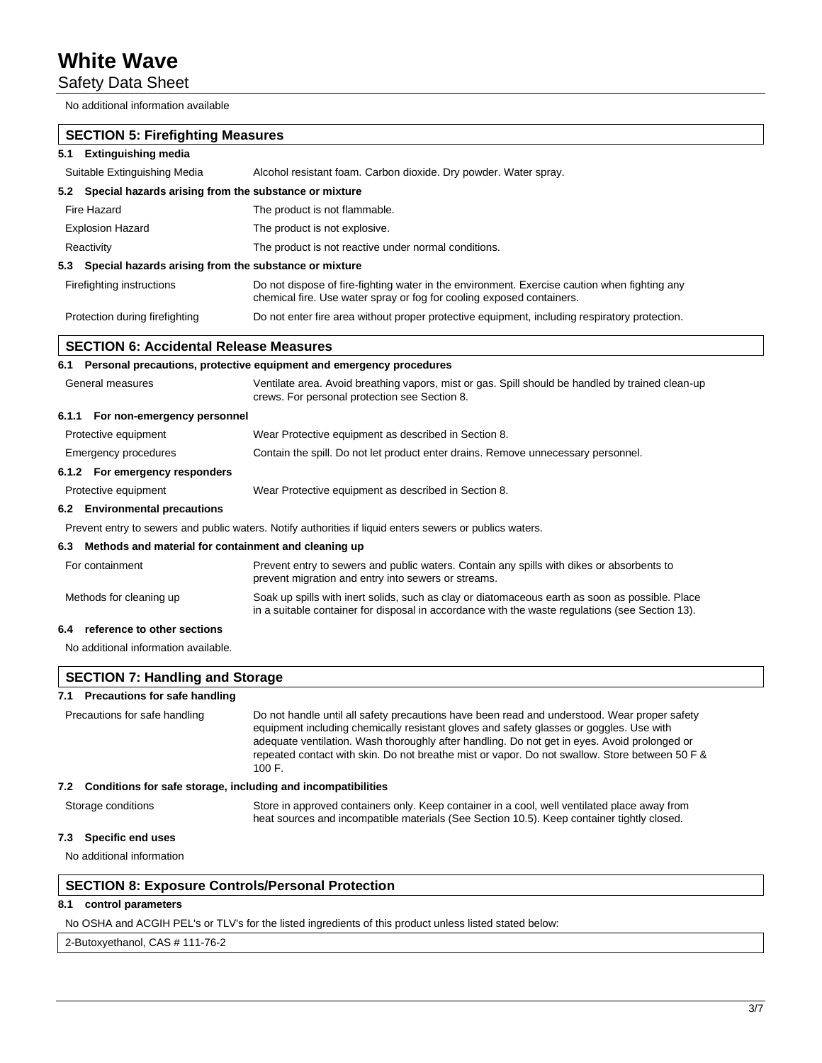Safety Data Sheet

No additional information available

| <b>SECTION 5: Firefighting Measures</b>                             |                                                                                                                                                                                                                                                                                                                                                                                                     |  |
|---------------------------------------------------------------------|-----------------------------------------------------------------------------------------------------------------------------------------------------------------------------------------------------------------------------------------------------------------------------------------------------------------------------------------------------------------------------------------------------|--|
| <b>Extinguishing media</b><br>5.1                                   |                                                                                                                                                                                                                                                                                                                                                                                                     |  |
| Suitable Extinguishing Media                                        | Alcohol resistant foam. Carbon dioxide. Dry powder. Water spray.                                                                                                                                                                                                                                                                                                                                    |  |
| Special hazards arising from the substance or mixture<br>5.2        |                                                                                                                                                                                                                                                                                                                                                                                                     |  |
| Fire Hazard                                                         | The product is not flammable.                                                                                                                                                                                                                                                                                                                                                                       |  |
| <b>Explosion Hazard</b><br>The product is not explosive.            |                                                                                                                                                                                                                                                                                                                                                                                                     |  |
| Reactivity                                                          | The product is not reactive under normal conditions.                                                                                                                                                                                                                                                                                                                                                |  |
| Special hazards arising from the substance or mixture<br>5.3        |                                                                                                                                                                                                                                                                                                                                                                                                     |  |
| Firefighting instructions                                           | Do not dispose of fire-fighting water in the environment. Exercise caution when fighting any<br>chemical fire. Use water spray or fog for cooling exposed containers.                                                                                                                                                                                                                               |  |
| Protection during firefighting                                      | Do not enter fire area without proper protective equipment, including respiratory protection.                                                                                                                                                                                                                                                                                                       |  |
| <b>SECTION 6: Accidental Release Measures</b>                       |                                                                                                                                                                                                                                                                                                                                                                                                     |  |
|                                                                     | 6.1 Personal precautions, protective equipment and emergency procedures                                                                                                                                                                                                                                                                                                                             |  |
| General measures                                                    | Ventilate area. Avoid breathing vapors, mist or gas. Spill should be handled by trained clean-up<br>crews. For personal protection see Section 8.                                                                                                                                                                                                                                                   |  |
| 6.1.1 For non-emergency personnel                                   |                                                                                                                                                                                                                                                                                                                                                                                                     |  |
| Protective equipment                                                | Wear Protective equipment as described in Section 8.                                                                                                                                                                                                                                                                                                                                                |  |
| Emergency procedures                                                | Contain the spill. Do not let product enter drains. Remove unnecessary personnel.                                                                                                                                                                                                                                                                                                                   |  |
| 6.1.2 For emergency responders                                      |                                                                                                                                                                                                                                                                                                                                                                                                     |  |
| Protective equipment                                                | Wear Protective equipment as described in Section 8.                                                                                                                                                                                                                                                                                                                                                |  |
| 6.2 Environmental precautions                                       |                                                                                                                                                                                                                                                                                                                                                                                                     |  |
|                                                                     | Prevent entry to sewers and public waters. Notify authorities if liquid enters sewers or publics waters.                                                                                                                                                                                                                                                                                            |  |
| Methods and material for containment and cleaning up<br>6.3         |                                                                                                                                                                                                                                                                                                                                                                                                     |  |
| For containment                                                     | Prevent entry to sewers and public waters. Contain any spills with dikes or absorbents to<br>prevent migration and entry into sewers or streams.                                                                                                                                                                                                                                                    |  |
| Methods for cleaning up                                             | Soak up spills with inert solids, such as clay or diatomaceous earth as soon as possible. Place<br>in a suitable container for disposal in accordance with the waste regulations (see Section 13).                                                                                                                                                                                                  |  |
| reference to other sections<br>6.4                                  |                                                                                                                                                                                                                                                                                                                                                                                                     |  |
| No additional information available.                                |                                                                                                                                                                                                                                                                                                                                                                                                     |  |
| <b>SECTION 7: Handling and Storage</b>                              |                                                                                                                                                                                                                                                                                                                                                                                                     |  |
| 7.1 Precautions for safe handling                                   |                                                                                                                                                                                                                                                                                                                                                                                                     |  |
| Precautions for safe handling                                       | Do not handle until all safety precautions have been read and understood. Wear proper safety<br>equipment including chemically resistant gloves and safety glasses or goggles. Use with<br>adequate ventilation. Wash thoroughly after handling. Do not get in eyes. Avoid prolonged or<br>repeated contact with skin. Do not breathe mist or vapor. Do not swallow. Store between 50 F &<br>100 F. |  |
| Conditions for safe storage, including and incompatibilities<br>7.2 |                                                                                                                                                                                                                                                                                                                                                                                                     |  |
| Storage conditions                                                  | Store in approved containers only. Keep container in a cool, well ventilated place away from<br>heat sources and incompatible materials (See Section 10.5). Keep container tightly closed.                                                                                                                                                                                                          |  |
| <b>Specific end uses</b><br>7.3                                     |                                                                                                                                                                                                                                                                                                                                                                                                     |  |
| No additional information                                           |                                                                                                                                                                                                                                                                                                                                                                                                     |  |

## **SECTION 8: Exposure Controls/Personal Protection**

### **8.1 control parameters**

No OSHA and ACGIH PEL's or TLV's for the listed ingredients of this product unless listed stated below:

2-Butoxyethanol, CAS # 111-76-2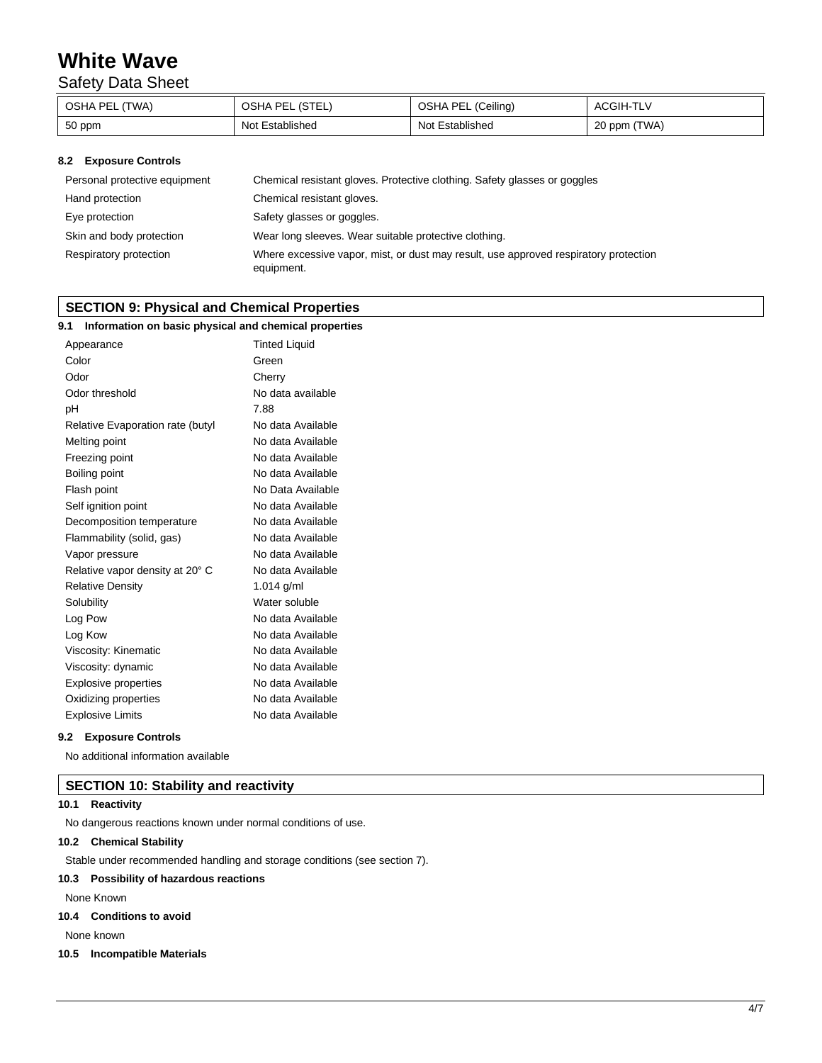## Safety Data Sheet

| OSHA PEL (TWA) | PEL (STEL,<br>OSHA F | (Ceiling)<br>OSHA PEL | ACGIH-TLV    |
|----------------|----------------------|-----------------------|--------------|
| 50 ppm         | Not Established      | Not Established       | 20 ppm (TWA) |

### **8.2 Exposure Controls**

| Personal protective equipment | Chemical resistant gloves. Protective clothing. Safety glasses or goggles                          |
|-------------------------------|----------------------------------------------------------------------------------------------------|
| Hand protection               | Chemical resistant gloves.                                                                         |
| Eye protection                | Safety glasses or goggles.                                                                         |
| Skin and body protection      | Wear long sleeves. Wear suitable protective clothing.                                              |
| Respiratory protection        | Where excessive vapor, mist, or dust may result, use approved respiratory protection<br>equipment. |

### **SECTION 9: Physical and Chemical Properties**

| Information on basic physical and chemical properties<br>9.1 |                      |
|--------------------------------------------------------------|----------------------|
| Appearance                                                   | <b>Tinted Liquid</b> |
| Color                                                        | Green                |
| Odor                                                         | Cherry               |
| Odor threshold                                               | No data available    |
| pH                                                           | 7.88                 |
| Relative Evaporation rate (butyl                             | No data Available    |
| Melting point                                                | No data Available    |
| Freezing point                                               | No data Available    |
| Boiling point                                                | No data Available    |
| Flash point                                                  | No Data Available    |
| Self ignition point                                          | No data Available    |
| Decomposition temperature                                    | No data Available    |
| Flammability (solid, gas)                                    | No data Available    |
| Vapor pressure                                               | No data Available    |
| Relative vapor density at 20° C                              | No data Available    |
| <b>Relative Density</b>                                      | 1.014 $g/ml$         |
| Solubility                                                   | Water soluble        |
| Log Pow                                                      | No data Available    |
| Log Kow                                                      | No data Available    |
| Viscosity: Kinematic                                         | No data Available    |
| Viscosity: dynamic                                           | No data Available    |
| <b>Explosive properties</b>                                  | No data Available    |
| Oxidizing properties                                         | No data Available    |
| <b>Explosive Limits</b>                                      | No data Available    |

#### **9.2 Exposure Controls**

No additional information available

### **SECTION 10: Stability and reactivity**

### **10.1 Reactivity**

No dangerous reactions known under normal conditions of use.

### **10.2 Chemical Stability**

Stable under recommended handling and storage conditions (see section 7).

### **10.3 Possibility of hazardous reactions**

None Known

### **10.4 Conditions to avoid**

None known

### **10.5 Incompatible Materials**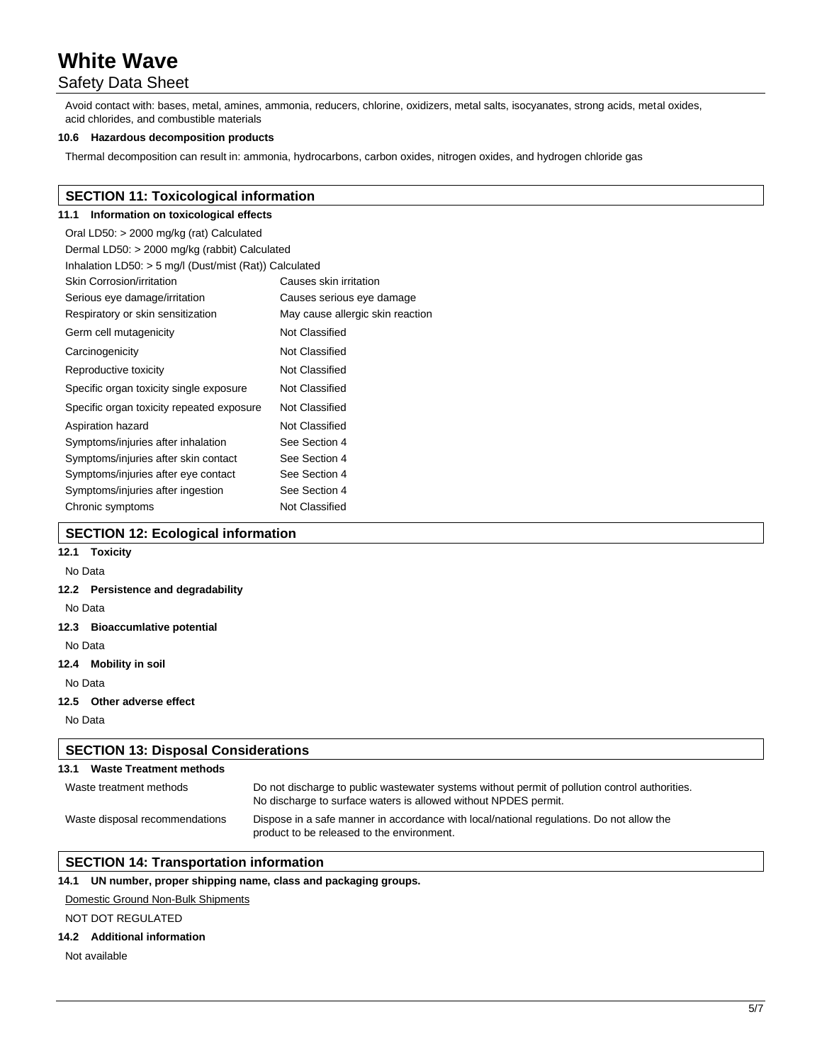## Safety Data Sheet

Avoid contact with: bases, metal, amines, ammonia, reducers, chlorine, oxidizers, metal salts, isocyanates, strong acids, metal oxides, acid chlorides, and combustible materials

### **10.6 Hazardous decomposition products**

Thermal decomposition can result in: ammonia, hydrocarbons, carbon oxides, nitrogen oxides, and hydrogen chloride gas

### **SECTION 11: Toxicological information**

## **11.1 Information on toxicological effects**

| Oral LD50: > 2000 mg/kg (rat) Calculated                 |                                  |  |  |
|----------------------------------------------------------|----------------------------------|--|--|
| Dermal LD50: > 2000 mg/kg (rabbit) Calculated            |                                  |  |  |
| Inhalation LD50: $>$ 5 mg/l (Dust/mist (Rat)) Calculated |                                  |  |  |
| Skin Corrosion/irritation                                | Causes skin irritation           |  |  |
| Serious eye damage/irritation                            | Causes serious eye damage        |  |  |
| Respiratory or skin sensitization                        | May cause allergic skin reaction |  |  |
| Germ cell mutagenicity                                   | Not Classified                   |  |  |
| Carcinogenicity                                          | Not Classified                   |  |  |
| Reproductive toxicity                                    | Not Classified                   |  |  |
| Specific organ toxicity single exposure                  | Not Classified                   |  |  |
| Specific organ toxicity repeated exposure                | Not Classified                   |  |  |
| Aspiration hazard                                        | Not Classified                   |  |  |
| Symptoms/injuries after inhalation                       | See Section 4                    |  |  |
| Symptoms/injuries after skin contact                     | See Section 4                    |  |  |
| Symptoms/injuries after eye contact                      | See Section 4                    |  |  |
| Symptoms/injuries after ingestion                        | See Section 4                    |  |  |
| Chronic symptoms                                         | Not Classified                   |  |  |

### **SECTION 12: Ecological information**

## **12.1 Toxicity**

### No Data

### **12.2 Persistence and degradability**

No Data

#### **12.3 Bioaccumlative potential**

No Data

### **12.4 Mobility in soil**

No Data

#### **12.5 Other adverse effect**

No Data

## **SECTION 13: Disposal Considerations 13.1 Waste Treatment methods**

| Waste treatment methods        | Do not discharge to public was tewater systems without permit of pollution control authorities.<br>No discharge to surface waters is allowed without NPDES permit. |
|--------------------------------|--------------------------------------------------------------------------------------------------------------------------------------------------------------------|
| Waste disposal recommendations | Dispose in a safe manner in accordance with local/national regulations. Do not allow the<br>product to be released to the environment.                             |

### **SECTION 14: Transportation information**

### **14.1 UN number, proper shipping name, class and packaging groups.**

#### Domestic Ground Non-Bulk Shipments

### NOT DOT REGULATED

### **14.2 Additional information**

Not available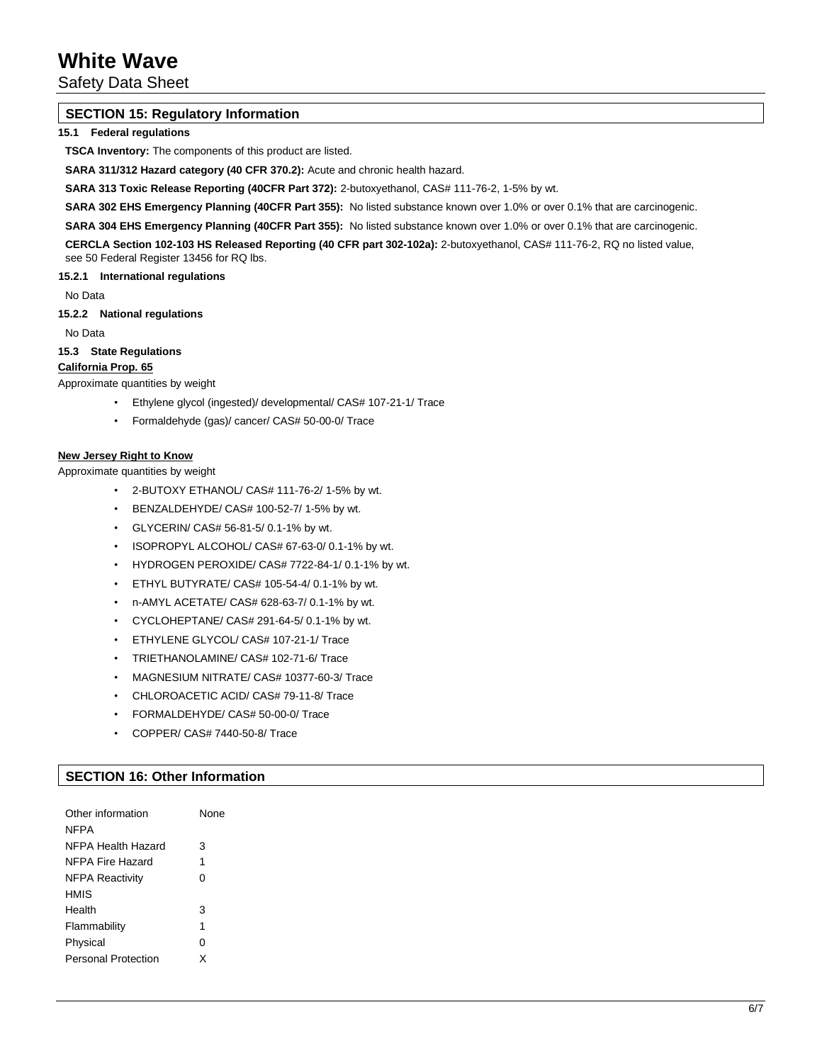Safety Data Sheet

### **SECTION 15: Regulatory Information**

### **15.1 Federal regulations**

**TSCA Inventory:** The components of this product are listed.

**SARA 311/312 Hazard category (40 CFR 370.2):** Acute and chronic health hazard.

**SARA 313 Toxic Release Reporting (40CFR Part 372):** 2-butoxyethanol, CAS# 111-76-2, 1-5% by wt.

**SARA 302 EHS Emergency Planning (40CFR Part 355):** No listed substance known over 1.0% or over 0.1% that are carcinogenic.

**SARA 304 EHS Emergency Planning (40CFR Part 355):** No listed substance known over 1.0% or over 0.1% that are carcinogenic.

**CERCLA Section 102-103 HS Released Reporting (40 CFR part 302-102a):** 2-butoxyethanol, CAS# 111-76-2, RQ no listed value, see 50 Federal Register 13456 for RQ lbs.

**15.2.1 International regulations**

No Data

**15.2.2 National regulations**

No Data

**15.3 State Regulations**

### **California Prop. 65**

Approximate quantities by weight

- Ethylene glycol (ingested)/ developmental/ CAS# 107-21-1/ Trace
- Formaldehyde (gas)/ cancer/ CAS# 50-00-0/ Trace

### **New Jersey Right to Know**

Approximate quantities by weight

- 2-BUTOXY ETHANOL/ CAS# 111-76-2/ 1-5% by wt.
- BENZALDEHYDE/ CAS# 100-52-7/ 1-5% by wt.
- GLYCERIN/ CAS# 56-81-5/ 0.1-1% by wt.
- ISOPROPYL ALCOHOL/ CAS# 67-63-0/ 0.1-1% by wt.
- HYDROGEN PEROXIDE/ CAS# 7722-84-1/ 0.1-1% by wt.
- ETHYL BUTYRATE/ CAS# 105-54-4/ 0.1-1% by wt.
- n-AMYL ACETATE/ CAS# 628-63-7/ 0.1-1% by wt.
- CYCLOHEPTANE/ CAS# 291-64-5/ 0.1-1% by wt.
- ETHYLENE GLYCOL/ CAS# 107-21-1/ Trace
- TRIETHANOLAMINE/ CAS# 102-71-6/ Trace
- MAGNESIUM NITRATE/ CAS# 10377-60-3/ Trace
- CHLOROACETIC ACID/ CAS# 79-11-8/ Trace
- FORMALDEHYDE/ CAS# 50-00-0/ Trace
- COPPER/ CAS# 7440-50-8/ Trace

### **SECTION 16: Other Information**

| Other information          | None |
|----------------------------|------|
| <b>NFPA</b>                |      |
| NFPA Health Hazard         | 3    |
| NFPA Fire Hazard           | 1    |
| <b>NFPA Reactivity</b>     | 0    |
| HMIS                       |      |
| Health                     | 3    |
| Flammability               | 1    |
| Physical                   | 0    |
| <b>Personal Protection</b> | x    |
|                            |      |